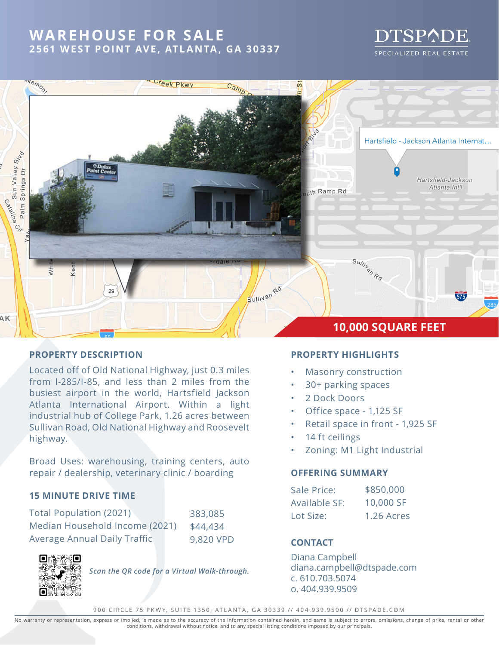# **WAREHOUSE FOR SALE 2561 WEST POINT AVE, ATLANTA, GA 30337**

# DTSPADE SPECIALIZED REAL ESTATE



### **PROPERTY DESCRIPTION**

Located off of Old National Highway, just 0.3 miles from I-285/I-85, and less than 2 miles from the busiest airport in the world, Hartsfield Jackson Atlanta International Airport. Within a light industrial hub of College Park, 1.26 acres between Sullivan Road, Old National Highway and Roosevelt highway.

Broad Uses: warehousing, training centers, auto repair / dealership, veterinary clinic / boarding

### **15 MINUTE DRIVE TIME**

| Total Population (2021)              | 383,085   |
|--------------------------------------|-----------|
| Median Household Income (2021)       | \$44,434  |
| <b>Average Annual Daily Traffict</b> | 9,820 VPD |



*Scan the QR code for a Virtual Walk-through.*

## **PROPERTY HIGHLIGHTS**

- Masonry construction
- 30+ parking spaces
- 2 Dock Doors
- Office space 1,125 SF
- Retail space in front 1,925 SF
- 14 ft ceilings
- Zoning: M1 Light Industrial

#### **OFFERING SUMMARY**

| Sale Price:   | \$850,000  |
|---------------|------------|
| Available SF: | 10,000 SF  |
| Lot Size:     | 1.26 Acres |

### 9,820 VPD **CONTACT**

Diana Campbell diana.campbell@dtspade.com c. 610.703.5074 o. 404.939.9509

900 CIRCLE 75 PKWY, SUITE 1350, ATLANTA, GA 30339 // 404.939.9500 // DTSPADE.COM

No warranty or representation, express or implied, is made as to the accuracy of the information contained herein, and same is subject to errors, omissions, change of price, rental or other<br>conditions, withdrawal without n